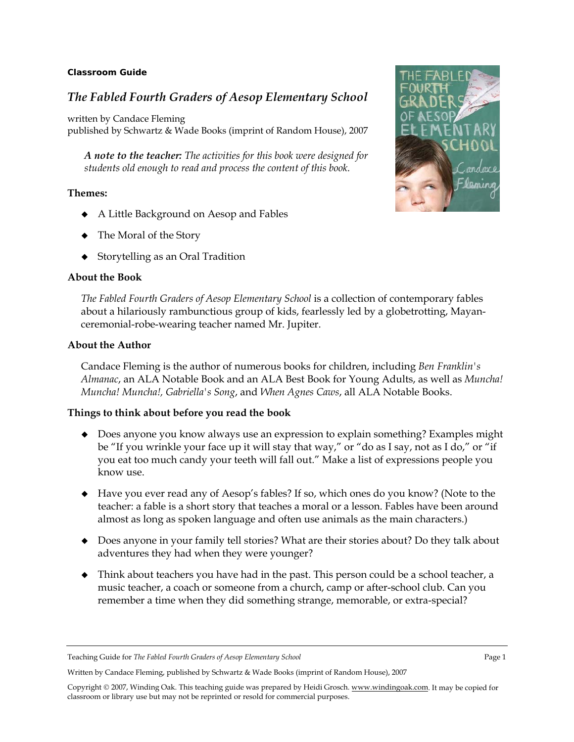#### **Classroom Guide**

# *The Fabled Fourth Graders of Aesop Elementary School*

written by Candace Fleming published by Schwartz & Wade Books (imprint of Random House), 2007

*A note to the teacher: The activities for this book were designed for students old enough to read and process the content of this book.* 

#### **Themes:**

- A Little Background on Aesop and Fables
- The Moral of the Story
- ◆ Storytelling as an Oral Tradition

#### **About the Book**

*The Fabled Fourth Graders of Aesop Elementary School* is a collection of contemporary fables about a hilariously rambunctious group of kids, fearlessly led by a globetrotting, Mayanceremonial-robe-wearing teacher named Mr. Jupiter.

#### **About the Author**

Candace Fleming is the author of numerous books for children, including *Ben Franklin's Almanac*, an ALA Notable Book and an ALA Best Book for Young Adults, as well as *Muncha! Muncha! Muncha!, Gabriella's Song*, and *When Agnes Caws*, all ALA Notable Books.

#### **Things to think about before you read the book**

- Does anyone you know always use an expression to explain something? Examples might be "If you wrinkle your face up it will stay that way," or "do as I say, not as I do," or "if you eat too much candy your teeth will fall out." Make a list of expressions people you know use.
- Have you ever read any of Aesop's fables? If so, which ones do you know? (Note to the teacher: a fable is a short story that teaches a moral or a lesson. Fables have been around almost as long as spoken language and often use animals as the main characters.)
- Does anyone in your family tell stories? What are their stories about? Do they talk about adventures they had when they were younger?
- Think about teachers you have had in the past. This person could be a school teacher, a music teacher, a coach or someone from a church, camp or after-school club. Can you remember a time when they did something strange, memorable, or extra-special?

Teaching Guide for *The Fabled Fourth Graders of Aesop Elementary School* Page 1





Written by Candace Fleming, published by Schwartz & Wade Books (imprint of Random House), 2007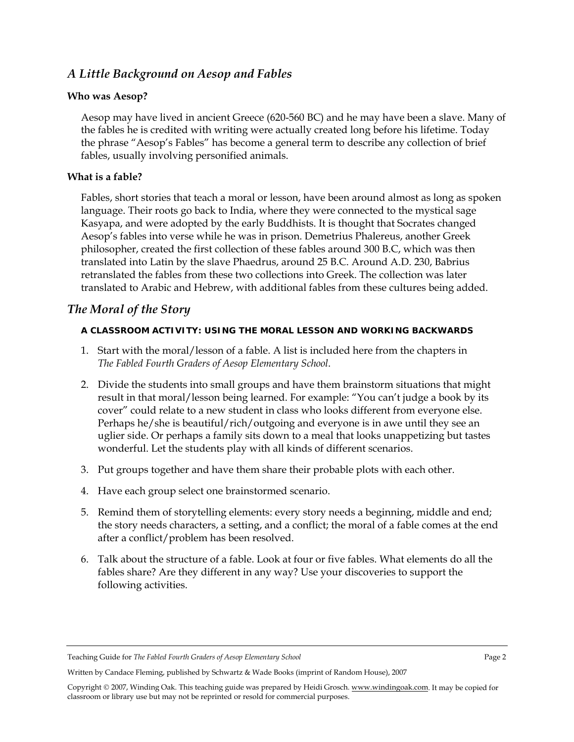# *A Little Background on Aesop and Fables*

### **Who was Aesop?**

Aesop may have lived in ancient Greece (620-560 BC) and he may have been a slave. Many of the fables he is credited with writing were actually created long before his lifetime. Today the phrase "Aesop's Fables" has become a general term to describe any collection of brief fables, usually involving personified animals.

### **What is a fable?**

Fables, short stories that teach a moral or lesson, have been around almost as long as spoken language. Their roots go back to India, where they were connected to the mystical sage Kasyapa, and were adopted by the early Buddhists. It is thought that Socrates changed Aesop's fables into verse while he was in prison. Demetrius Phalereus, another Greek philosopher, created the first collection of these fables around 300 B.C, which was then translated into Latin by the slave Phaedrus, around 25 B.C. Around A.D. 230, Babrius retranslated the fables from these two collections into Greek. The collection was later translated to Arabic and Hebrew, with additional fables from these cultures being added.

# *The Moral of the Story*

### **A CLASSROOM ACTIVITY: USING THE MORAL LESSON AND WORKING BACKWARDS**

- 1. Start with the moral/lesson of a fable. A list is included here from the chapters in *The Fabled Fourth Graders of Aesop Elementary School*.
- 2. Divide the students into small groups and have them brainstorm situations that might result in that moral/lesson being learned. For example: "You can't judge a book by its cover" could relate to a new student in class who looks different from everyone else. Perhaps he/she is beautiful/rich/outgoing and everyone is in awe until they see an uglier side. Or perhaps a family sits down to a meal that looks unappetizing but tastes wonderful. Let the students play with all kinds of different scenarios.
- 3. Put groups together and have them share their probable plots with each other.
- 4. Have each group select one brainstormed scenario.
- 5. Remind them of storytelling elements: every story needs a beginning, middle and end; the story needs characters, a setting, and a conflict; the moral of a fable comes at the end after a conflict/problem has been resolved.
- 6. Talk about the structure of a fable. Look at four or five fables. What elements do all the fables share? Are they different in any way? Use your discoveries to support the following activities.

Teaching Guide for *The Fabled Fourth Graders of Aesop Elementary School* Page 2

Written by Candace Fleming, published by Schwartz & Wade Books (imprint of Random House), 2007

Copyright © 2007, Winding Oak. This teaching guide was prepared by Heidi Grosch. www.windingoak.com. It may be copied for classroom or library use but may not be reprinted or resold for commercial purposes.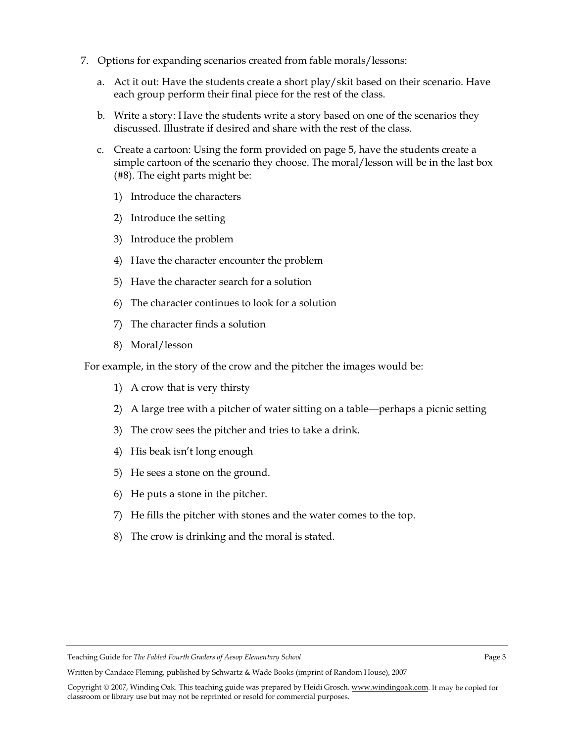- 7. Options for expanding scenarios created from fable morals/lessons:
	- a. Act it out: Have the students create a short play/skit based on their scenario. Have each group perform their final piece for the rest of the class.
	- b. Write a story: Have the students write a story based on one of the scenarios they discussed. Illustrate if desired and share with the rest of the class.
	- c. Create a cartoon: Using the form provided on page 5, have the students create a simple cartoon of the scenario they choose. The moral/lesson will be in the last box (#8). The eight parts might be:
		- 1) Introduce the characters
		- 2) Introduce the setting
		- 3) Introduce the problem
		- 4) Have the character encounter the problem
		- 5) Have the character search for a solution
		- 6) The character continues to look for a solution
		- 7) The character finds a solution
		- 8) Moral/lesson

For example, in the story of the crow and the pitcher the images would be:

- 1) A crow that is very thirsty
- 2) A large tree with a pitcher of water sitting on a table—perhaps a picnic setting
- 3) The crow sees the pitcher and tries to take a drink.
- 4) His beak isn't long enough
- 5) He sees a stone on the ground.
- 6) He puts a stone in the pitcher.
- 7) He fills the pitcher with stones and the water comes to the top.
- 8) The crow is drinking and the moral is stated.

Teaching Guide for *The Fabled Fourth Graders of Aesop Elementary School* Page 3

Written by Candace Fleming, published by Schwartz & Wade Books (imprint of Random House), 2007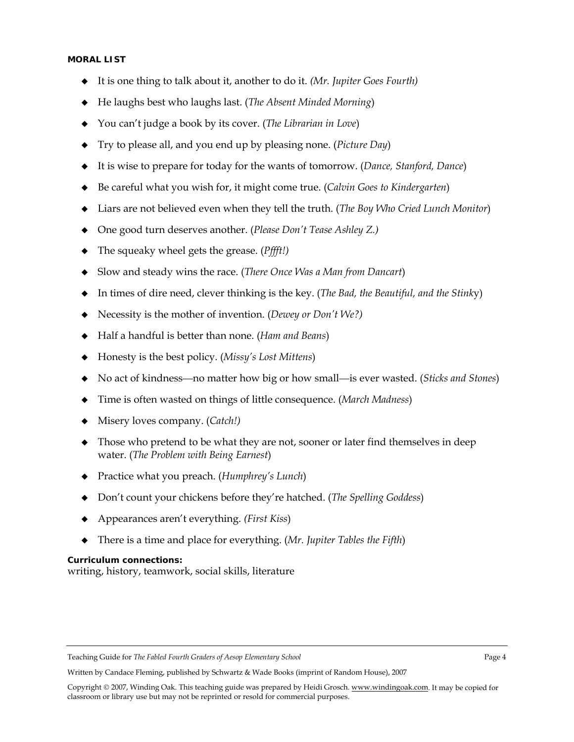#### **MORAL LIST**

- It is one thing to talk about it, another to do it. *(Mr. Jupiter Goes Fourth)*
- He laughs best who laughs last. (*The Absent Minded Morning*)
- You can't judge a book by its cover. (*The Librarian in Love*)
- Try to please all, and you end up by pleasing none. (*Picture Day*)
- It is wise to prepare for today for the wants of tomorrow. (*Dance, Stanford, Dance*)
- Be careful what you wish for, it might come true. (*Calvin Goes to Kindergarten*)
- Liars are not believed even when they tell the truth. (*The Boy Who Cried Lunch Monitor*)
- One good turn deserves another. (*Please Don't Tease Ashley Z.)*
- The squeaky wheel gets the grease. (*Pffft!)*
- Slow and steady wins the race. (*There Once Was a Man from Dancart*)
- In times of dire need, clever thinking is the key. (*The Bad, the Beautiful, and the Stink*y)
- Necessity is the mother of invention. (*Dewey or Don't We?)*
- Half a handful is better than none. (*Ham and Beans*)
- Honesty is the best policy. (*Missy's Lost Mittens*)
- No act of kindness—no matter how big or how small—is ever wasted. (*Sticks and Stones*)
- Time is often wasted on things of little consequence. (*March Madness*)
- Misery loves company. (*Catch!)*
- Those who pretend to be what they are not, sooner or later find themselves in deep water. (*The Problem with Being Earnest*)
- Practice what you preach. (*Humphrey's Lunch*)
- Don't count your chickens before they're hatched. (*The Spelling Goddess*)
- Appearances aren't everything. *(First Kiss*)
- There is a time and place for everything. (*Mr. Jupiter Tables the Fifth*)

#### **Curriculum connections:**

writing, history, teamwork, social skills, literature

Teaching Guide for *The Fabled Fourth Graders of Aesop Elementary School* Page 4

Written by Candace Fleming, published by Schwartz & Wade Books (imprint of Random House), 2007

Copyright © 2007, Winding Oak. This teaching guide was prepared by Heidi Grosch. www.windingoak.com. It may be copied for classroom or library use but may not be reprinted or resold for commercial purposes.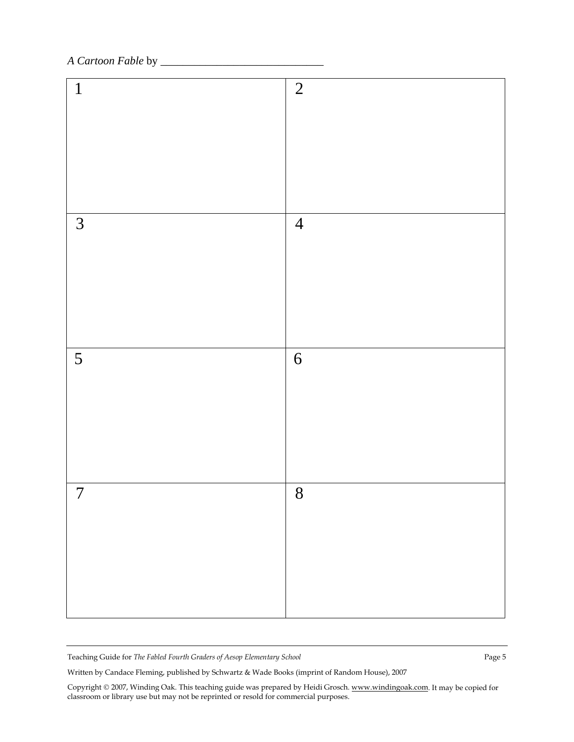## *A Cartoon Fable* by \_

| $\mathbf{1}$   | $\overline{2}$ |
|----------------|----------------|
| $\mathfrak{Z}$ | $\overline{4}$ |
| 5              | $\sqrt{6}$     |
| $\overline{7}$ | 8              |

Teaching Guide for *The Fabled Fourth Graders of Aesop Elementary School* Page 5

Written by Candace Fleming, published by Schwartz & Wade Books (imprint of Random House), 2007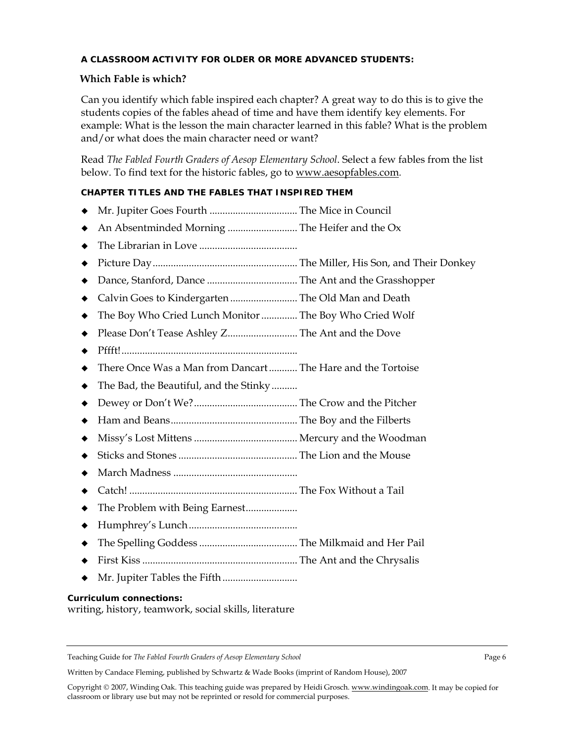#### **A CLASSROOM ACTIVITY FOR OLDER OR MORE ADVANCED STUDENTS:**

#### **Which Fable is which?**

Can you identify which fable inspired each chapter? A great way to do this is to give the students copies of the fables ahead of time and have them identify key elements. For example: What is the lesson the main character learned in this fable? What is the problem and/or what does the main character need or want?

Read *The Fabled Fourth Graders of Aesop Elementary School*. Select a few fables from the list below. To find text for the historic fables, go to www.aesopfables.com*.* 

### **CHAPTER TITLES AND THE FABLES THAT INSPIRED THEM**

- Mr. Jupiter Goes Fourth .................................. The Mice in Council
- An Absentminded Morning ........................... The Heifer and the Ox
- The Librarian in Love ......................................
- Picture Day........................................................ The Miller, His Son, and Their Donkey
- Dance, Stanford, Dance ................................... The Ant and the Grasshopper
- Calvin Goes to Kindergarten .......................... The Old Man and Death
- The Boy Who Cried Lunch Monitor .............. The Boy Who Cried Wolf
- Please Don't Tease Ashley Z........................... The Ant and the Dove
- Pffft!....................................................................
- There Once Was a Man from Dancart ........... The Hare and the Tortoise
- ◆ The Bad, the Beautiful, and the Stinky..........
- Dewey or Don't We?........................................ The Crow and the Pitcher
- Ham and Beans................................................. The Boy and the Filberts
- Missy's Lost Mittens ........................................ Mercury and the Woodman
- Sticks and Stones .............................................. The Lion and the Mouse
- March Madness ................................................
- Catch! ................................................................. The Fox Without a Tail
- The Problem with Being Earnest....................
- Humphrey's Lunch..........................................
- The Spelling Goddess ...................................... The Milkmaid and Her Pail
- First Kiss ............................................................ The Ant and the Chrysalis
- Mr. Jupiter Tables the Fifth .............................

#### **Curriculum connections:**

writing, history, teamwork, social skills, literature

Written by Candace Fleming, published by Schwartz & Wade Books (imprint of Random House), 2007

Teaching Guide for *The Fabled Fourth Graders of Aesop Elementary School* Page 6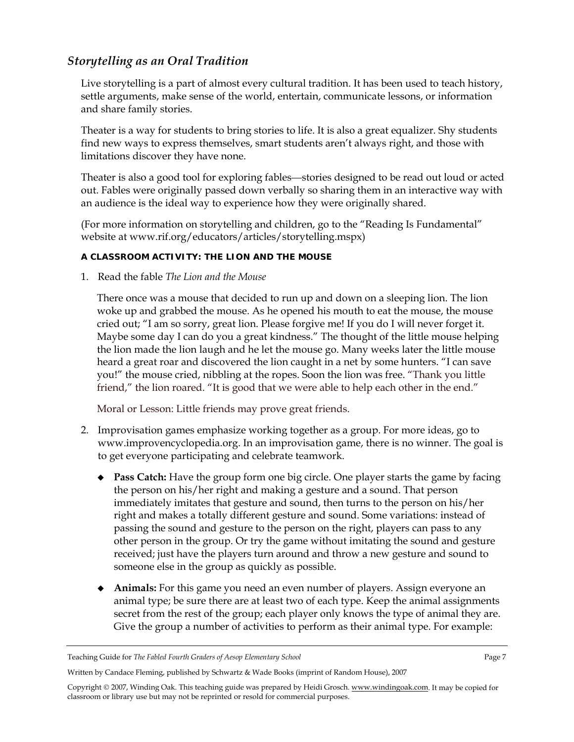# *Storytelling as an Oral Tradition*

Live storytelling is a part of almost every cultural tradition. It has been used to teach history, settle arguments, make sense of the world, entertain, communicate lessons, or information and share family stories.

Theater is a way for students to bring stories to life. It is also a great equalizer. Shy students find new ways to express themselves, smart students aren't always right, and those with limitations discover they have none.

Theater is also a good tool for exploring fables—stories designed to be read out loud or acted out. Fables were originally passed down verbally so sharing them in an interactive way with an audience is the ideal way to experience how they were originally shared.

(For more information on storytelling and children, go to the "Reading Is Fundamental" website at www.rif.org/educators/articles/storytelling.mspx)

#### **A CLASSROOM ACTIVITY: THE LION AND THE MOUSE**

1. Read the fable *The Lion and the Mouse* 

There once was a mouse that decided to run up and down on a sleeping lion. The lion woke up and grabbed the mouse. As he opened his mouth to eat the mouse, the mouse cried out; "I am so sorry, great lion. Please forgive me! If you do I will never forget it. Maybe some day I can do you a great kindness." The thought of the little mouse helping the lion made the lion laugh and he let the mouse go. Many weeks later the little mouse heard a great roar and discovered the lion caught in a net by some hunters. "I can save you!" the mouse cried, nibbling at the ropes. Soon the lion was free. "Thank you little friend," the lion roared. "It is good that we were able to help each other in the end."

Moral or Lesson: Little friends may prove great friends.

- 2. Improvisation games emphasize working together as a group. For more ideas, go to www.improvencyclopedia.org. In an improvisation game, there is no winner. The goal is to get everyone participating and celebrate teamwork.
	- **Pass Catch:** Have the group form one big circle. One player starts the game by facing the person on his/her right and making a gesture and a sound. That person immediately imitates that gesture and sound, then turns to the person on his/her right and makes a totally different gesture and sound. Some variations: instead of passing the sound and gesture to the person on the right, players can pass to any other person in the group. Or try the game without imitating the sound and gesture received; just have the players turn around and throw a new gesture and sound to someone else in the group as quickly as possible.
	- **Animals:** For this game you need an even number of players. Assign everyone an animal type; be sure there are at least two of each type. Keep the animal assignments secret from the rest of the group; each player only knows the type of animal they are. Give the group a number of activities to perform as their animal type. For example:

Teaching Guide for *The Fabled Fourth Graders of Aesop Elementary School* Page 7

Written by Candace Fleming, published by Schwartz & Wade Books (imprint of Random House), 2007

Copyright © 2007, Winding Oak. This teaching guide was prepared by Heidi Grosch. www.windingoak.com. It may be copied for classroom or library use but may not be reprinted or resold for commercial purposes.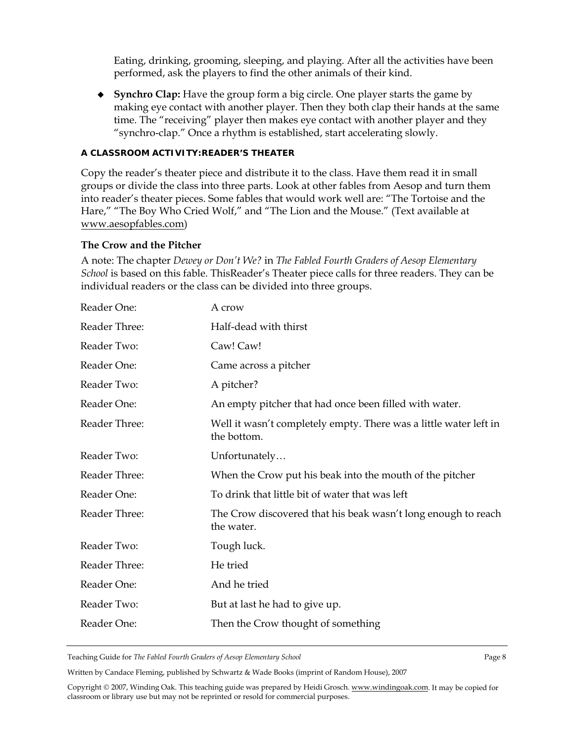Eating, drinking, grooming, sleeping, and playing. After all the activities have been performed, ask the players to find the other animals of their kind.

 **Synchro Clap:** Have the group form a big circle. One player starts the game by making eye contact with another player. Then they both clap their hands at the same time. The "receiving" player then makes eye contact with another player and they "synchro-clap." Once a rhythm is established, start accelerating slowly.

#### **A CLASSROOM ACTIVITY:READER'S THEATER**

Copy the reader's theater piece and distribute it to the class. Have them read it in small groups or divide the class into three parts. Look at other fables from Aesop and turn them into reader's theater pieces. Some fables that would work well are: "The Tortoise and the Hare," "The Boy Who Cried Wolf," and "The Lion and the Mouse." (Text available at www.aesopfables.com)

#### **The Crow and the Pitcher**

A note: The chapter *Dewey or Don't We?* in *The Fabled Fourth Graders of Aesop Elementary School* is based on this fable. ThisReader's Theater piece calls for three readers. They can be individual readers or the class can be divided into three groups.

| Reader One:   | A crow                                                                           |
|---------------|----------------------------------------------------------------------------------|
| Reader Three: | Half-dead with thirst                                                            |
| Reader Two:   | Caw! Caw!                                                                        |
| Reader One:   | Came across a pitcher                                                            |
| Reader Two:   | A pitcher?                                                                       |
| Reader One:   | An empty pitcher that had once been filled with water.                           |
| Reader Three: | Well it wasn't completely empty. There was a little water left in<br>the bottom. |
| Reader Two:   | Unfortunately                                                                    |
| Reader Three: | When the Crow put his beak into the mouth of the pitcher                         |
| Reader One:   | To drink that little bit of water that was left                                  |
| Reader Three: | The Crow discovered that his beak wasn't long enough to reach<br>the water.      |
| Reader Two:   | Tough luck.                                                                      |
| Reader Three: | He tried                                                                         |
| Reader One:   | And he tried                                                                     |
| Reader Two:   | But at last he had to give up.                                                   |
| Reader One:   | Then the Crow thought of something                                               |

Teaching Guide for *The Fabled Fourth Graders of Aesop Elementary School* Page 8

Written by Candace Fleming, published by Schwartz & Wade Books (imprint of Random House), 2007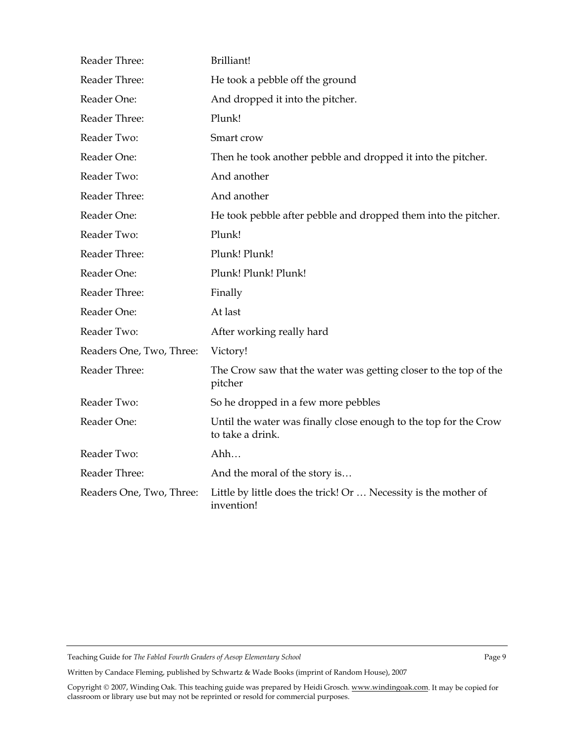| Reader Three:            | Brilliant!                                                                           |
|--------------------------|--------------------------------------------------------------------------------------|
| Reader Three:            | He took a pebble off the ground                                                      |
| Reader One:              | And dropped it into the pitcher.                                                     |
| Reader Three:            | Plunk!                                                                               |
| Reader Two:              | Smart crow                                                                           |
| Reader One:              | Then he took another pebble and dropped it into the pitcher.                         |
| Reader Two:              | And another                                                                          |
| Reader Three:            | And another                                                                          |
| Reader One:              | He took pebble after pebble and dropped them into the pitcher.                       |
| Reader Two:              | Plunk!                                                                               |
| Reader Three:            | Plunk! Plunk!                                                                        |
| Reader One:              | Plunk! Plunk! Plunk!                                                                 |
| Reader Three:            | Finally                                                                              |
| Reader One:              | At last                                                                              |
| Reader Two:              | After working really hard                                                            |
| Readers One, Two, Three: | Victory!                                                                             |
| Reader Three:            | The Crow saw that the water was getting closer to the top of the<br>pitcher          |
| Reader Two:              | So he dropped in a few more pebbles                                                  |
| Reader One:              | Until the water was finally close enough to the top for the Crow<br>to take a drink. |
| Reader Two:              | Ahh                                                                                  |
| Reader Three:            | And the moral of the story is                                                        |
| Readers One, Two, Three: | Little by little does the trick! Or  Necessity is the mother of<br>invention!        |

Teaching Guide for *The Fabled Fourth Graders of Aesop Elementary School* Page 9

Written by Candace Fleming, published by Schwartz & Wade Books (imprint of Random House), 2007